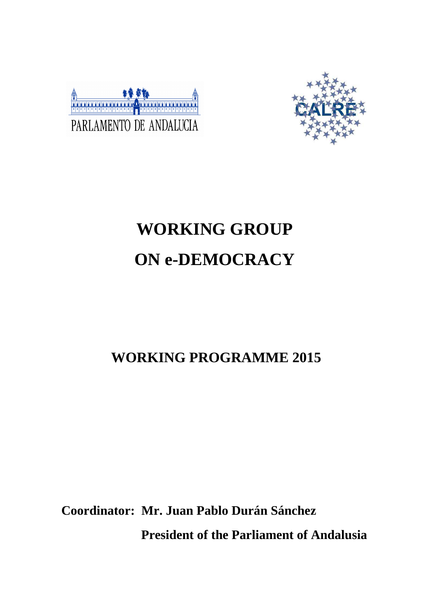



# **WORKING GROUP ON e-DEMOCRACY**

# **WORKING PROGRAMME 2015**

**Coordinator: Mr. Juan Pablo Durán Sánchez President of the Parliament of Andalusia**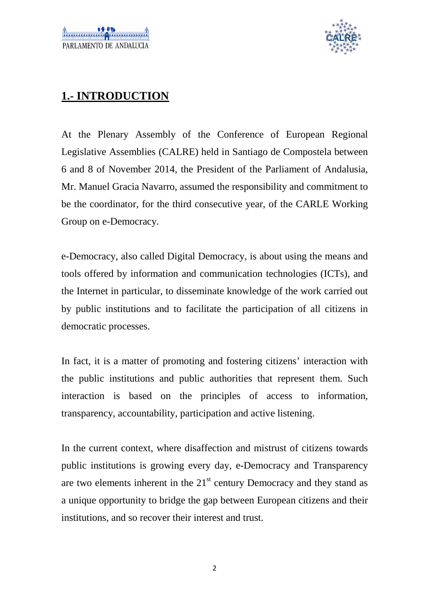

### **1.- INTRODUCTION**

At the Plenary Assembly of the Conference of European Regional Legislative Assemblies (CALRE) held in Santiago de Compostela between 6 and 8 of November 2014, the President of the Parliament of Andalusia, Mr. Manuel Gracia Navarro, assumed the responsibility and commitment to be the coordinator, for the third consecutive year, of the CARLE Working Group on e-Democracy.

e-Democracy, also called Digital Democracy, is about using the means and tools offered by information and communication technologies (ICTs), and the Internet in particular, to disseminate knowledge of the work carried out by public institutions and to facilitate the participation of all citizens in democratic processes.

In fact, it is a matter of promoting and fostering citizens' interaction with the public institutions and public authorities that represent them. Such interaction is based on the principles of access to information, transparency, accountability, participation and active listening.

In the current context, where disaffection and mistrust of citizens towards public institutions is growing every day, e-Democracy and Transparency are two elements inherent in the  $21<sup>st</sup>$  century Democracy and they stand as a unique opportunity to bridge the gap between European citizens and their institutions, and so recover their interest and trust.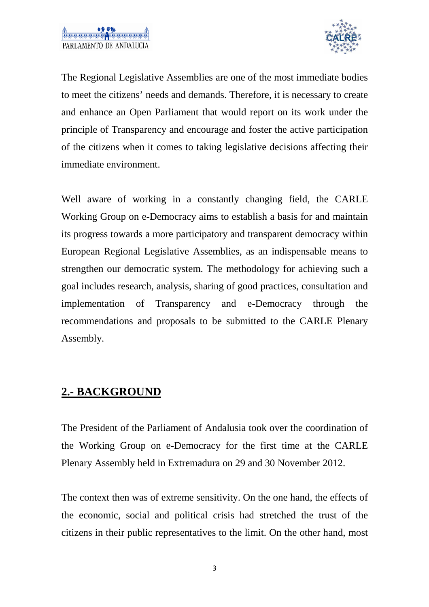

The Regional Legislative Assemblies are one of the most immediate bodies to meet the citizens' needs and demands. Therefore, it is necessary to create and enhance an Open Parliament that would report on its work under the principle of Transparency and encourage and foster the active participation of the citizens when it comes to taking legislative decisions affecting their immediate environment.

Well aware of working in a constantly changing field, the CARLE Working Group on e-Democracy aims to establish a basis for and maintain its progress towards a more participatory and transparent democracy within European Regional Legislative Assemblies, as an indispensable means to strengthen our democratic system. The methodology for achieving such a goal includes research, analysis, sharing of good practices, consultation and implementation of Transparency and e-Democracy through the recommendations and proposals to be submitted to the CARLE Plenary Assembly.

#### **2.- BACKGROUND**

The President of the Parliament of Andalusia took over the coordination of the Working Group on e-Democracy for the first time at the CARLE Plenary Assembly held in Extremadura on 29 and 30 November 2012.

The context then was of extreme sensitivity. On the one hand, the effects of the economic, social and political crisis had stretched the trust of the citizens in their public representatives to the limit. On the other hand, most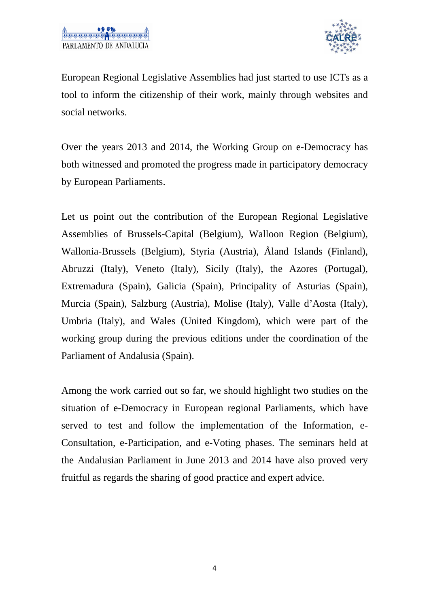

European Regional Legislative Assemblies had just started to use ICTs as a tool to inform the citizenship of their work, mainly through websites and social networks.

Over the years 2013 and 2014, the Working Group on e-Democracy has both witnessed and promoted the progress made in participatory democracy by European Parliaments.

Let us point out the contribution of the European Regional Legislative Assemblies of Brussels-Capital (Belgium), Walloon Region (Belgium), Wallonia-Brussels (Belgium), Styria (Austria), Åland Islands (Finland), Abruzzi (Italy), Veneto (Italy), Sicily (Italy), the Azores (Portugal), Extremadura (Spain), Galicia (Spain), Principality of Asturias (Spain), Murcia (Spain), Salzburg (Austria), Molise (Italy), Valle d'Aosta (Italy), Umbria (Italy), and Wales (United Kingdom), which were part of the working group during the previous editions under the coordination of the Parliament of Andalusia (Spain).

Among the work carried out so far, we should highlight two studies on the situation of e-Democracy in European regional Parliaments, which have served to test and follow the implementation of the Information, e-Consultation, e-Participation, and e-Voting phases. The seminars held at the Andalusian Parliament in June 2013 and 2014 have also proved very fruitful as regards the sharing of good practice and expert advice.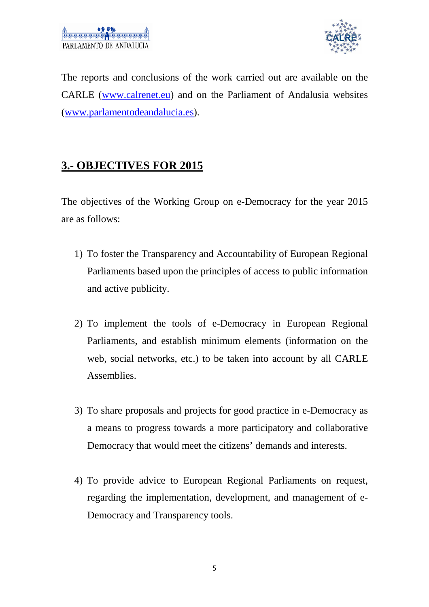

The reports and conclusions of the work carried out are available on the CARLE (www.calrenet.eu) and on the Parliament of Andalusia websites (www.parlamentodeandalucia.es).

#### **3.- OBJECTIVES FOR 2015**

The objectives of the Working Group on e-Democracy for the year 2015 are as follows:

- 1) To foster the Transparency and Accountability of European Regional Parliaments based upon the principles of access to public information and active publicity.
- 2) To implement the tools of e-Democracy in European Regional Parliaments, and establish minimum elements (information on the web, social networks, etc.) to be taken into account by all CARLE Assemblies.
- 3) To share proposals and projects for good practice in e-Democracy as a means to progress towards a more participatory and collaborative Democracy that would meet the citizens' demands and interests.
- 4) To provide advice to European Regional Parliaments on request, regarding the implementation, development, and management of e-Democracy and Transparency tools.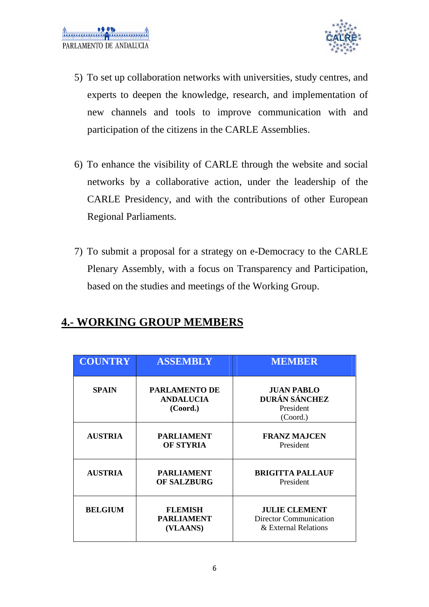

- 5) To set up collaboration networks with universities, study centres, and experts to deepen the knowledge, research, and implementation of new channels and tools to improve communication with and participation of the citizens in the CARLE Assemblies.
- 6) To enhance the visibility of CARLE through the website and social networks by a collaborative action, under the leadership of the CARLE Presidency, and with the contributions of other European Regional Parliaments.
- 7) To submit a proposal for a strategy on e-Democracy to the CARLE Plenary Assembly, with a focus on Transparency and Participation, based on the studies and meetings of the Working Group.

#### **4.- WORKING GROUP MEMBERS**

| <b>COUNTRY</b> | <b>ASSEMBLY</b>                                      | <b>MEMBER</b>                                                          |
|----------------|------------------------------------------------------|------------------------------------------------------------------------|
| <b>SPAIN</b>   | <b>PARLAMENTO DE</b><br><b>ANDALUCIA</b><br>(Coord.) | <b>JUAN PABLO</b><br>DURÁN SÁNCHEZ<br>President<br>(Coord.)            |
| <b>AUSTRIA</b> | <b>PARLIAMENT</b><br><b>OF STYRIA</b>                | <b>FRANZ MAJCEN</b><br>President                                       |
| <b>AUSTRIA</b> | <b>PARLIAMENT</b><br><b>OF SALZBURG</b>              | <b>BRIGITTA PALLAUF</b><br>President                                   |
| <b>BELGIUM</b> | <b>FLEMISH</b><br><b>PARLIAMENT</b><br>(VLAANS)      | <b>JULIE CLEMENT</b><br>Director Communication<br>& External Relations |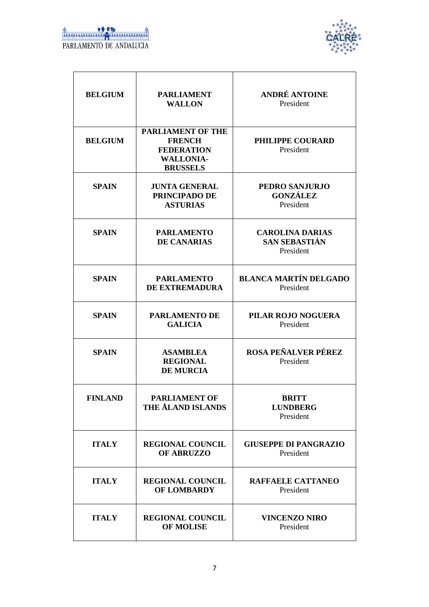

| <b>BELGIUM</b> | <b>PARLIAMENT</b><br><b>WALLON</b>                                                                    | <b>ANDRÉ ANTOINE</b><br>President                    |
|----------------|-------------------------------------------------------------------------------------------------------|------------------------------------------------------|
| <b>BELGIUM</b> | <b>PARLIAMENT OF THE</b><br><b>FRENCH</b><br><b>FEDERATION</b><br><b>WALLONIA-</b><br><b>BRUSSELS</b> | PHILIPPE COURARD<br>President                        |
| <b>SPAIN</b>   | <b>JUNTA GENERAL</b><br>PRINCIPADO DE<br><b>ASTURIAS</b>                                              | PEDRO SANJURJO<br><b>GONZÁLEZ</b><br>President       |
| <b>SPAIN</b>   | <b>PARLAMENTO</b><br><b>DE CANARIAS</b>                                                               | <b>CAROLINA DARIAS</b><br>SAN SEBASTIÁN<br>President |
| <b>SPAIN</b>   | <b>PARLAMENTO</b><br>DE EXTREMADURA                                                                   | <b>BLANCA MARTÍN DELGADO</b><br>President            |
| <b>SPAIN</b>   | <b>PARLAMENTO DE</b><br><b>GALICIA</b>                                                                | PILAR ROJO NOGUERA<br>President                      |
| <b>SPAIN</b>   | <b>ASAMBLEA</b><br><b>REGIONAL</b><br><b>DE MURCIA</b>                                                | <b>ROSA PEÑALVER PÉREZ</b><br>President              |
| <b>FINLAND</b> | <b>PARLIAMENT OF</b><br><b>THE ÅLAND ISLANDS</b>                                                      | <b>BRITT</b><br><b>LUNDBERG</b><br>President         |
| <b>ITALY</b>   | <b>REGIONAL COUNCIL</b><br><b>OF ABRUZZO</b>                                                          | <b>GIUSEPPE DI PANGRAZIO</b><br>President            |
| <b>ITALY</b>   | <b>REGIONAL COUNCIL</b><br><b>OF LOMBARDY</b>                                                         | RAFFAELE CATTANEO<br>President                       |
| <b>ITALY</b>   | <b>REGIONAL COUNCIL</b><br><b>OF MOLISE</b>                                                           | <b>VINCENZO NIRO</b><br>President                    |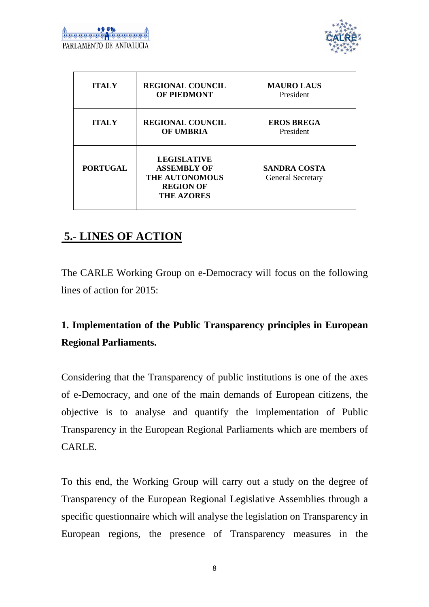

| <b>ITALY</b>    | <b>REGIONAL COUNCIL</b><br><b>OF PIEDMONT</b>                                                              | <b>MAURO LAUS</b><br>President                  |
|-----------------|------------------------------------------------------------------------------------------------------------|-------------------------------------------------|
| <b>ITALY</b>    | <b>REGIONAL COUNCIL</b><br><b>OF UMBRIA</b>                                                                | <b>EROS BREGA</b><br>President                  |
| <b>PORTUGAL</b> | <b>LEGISLATIVE</b><br><b>ASSEMBLY OF</b><br><b>THE AUTONOMOUS</b><br><b>REGION OF</b><br><b>THE AZORES</b> | <b>SANDRA COSTA</b><br><b>General Secretary</b> |

# **5.- LINES OF ACTION**

The CARLE Working Group on e-Democracy will focus on the following lines of action for 2015:

# **1. Implementation of the Public Transparency principles in European Regional Parliaments.**

Considering that the Transparency of public institutions is one of the axes of e-Democracy, and one of the main demands of European citizens, the objective is to analyse and quantify the implementation of Public Transparency in the European Regional Parliaments which are members of CARLE.

To this end, the Working Group will carry out a study on the degree of Transparency of the European Regional Legislative Assemblies through a specific questionnaire which will analyse the legislation on Transparency in European regions, the presence of Transparency measures in the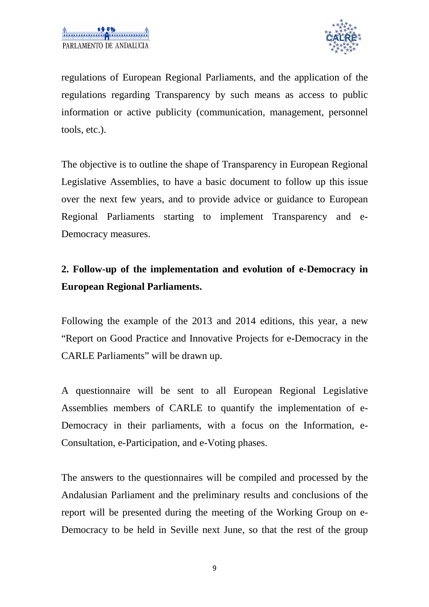

regulations of European Regional Parliaments, and the application of the regulations regarding Transparency by such means as access to public information or active publicity (communication, management, personnel tools, etc.).

The objective is to outline the shape of Transparency in European Regional Legislative Assemblies, to have a basic document to follow up this issue over the next few years, and to provide advice or guidance to European Regional Parliaments starting to implement Transparency and e-Democracy measures.

## **2. Follow-up of the implementation and evolution of e-Democracy in European Regional Parliaments.**

Following the example of the 2013 and 2014 editions, this year, a new "Report on Good Practice and Innovative Projects for e-Democracy in the CARLE Parliaments" will be drawn up.

A questionnaire will be sent to all European Regional Legislative Assemblies members of CARLE to quantify the implementation of e-Democracy in their parliaments, with a focus on the Information, e-Consultation, e-Participation, and e-Voting phases.

The answers to the questionnaires will be compiled and processed by the Andalusian Parliament and the preliminary results and conclusions of the report will be presented during the meeting of the Working Group on e-Democracy to be held in Seville next June, so that the rest of the group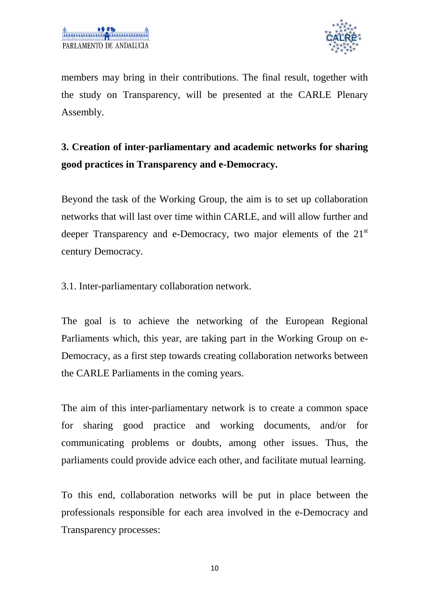

members may bring in their contributions. The final result, together with the study on Transparency, will be presented at the CARLE Plenary Assembly.

# **3. Creation of inter-parliamentary and academic networks for sharing good practices in Transparency and e-Democracy.**

Beyond the task of the Working Group, the aim is to set up collaboration networks that will last over time within CARLE, and will allow further and deeper Transparency and e-Democracy, two major elements of the 21<sup>st</sup> century Democracy.

3.1. Inter-parliamentary collaboration network.

The goal is to achieve the networking of the European Regional Parliaments which, this year, are taking part in the Working Group on e-Democracy, as a first step towards creating collaboration networks between the CARLE Parliaments in the coming years.

The aim of this inter-parliamentary network is to create a common space for sharing good practice and working documents, and/or for communicating problems or doubts, among other issues. Thus, the parliaments could provide advice each other, and facilitate mutual learning.

To this end, collaboration networks will be put in place between the professionals responsible for each area involved in the e-Democracy and Transparency processes: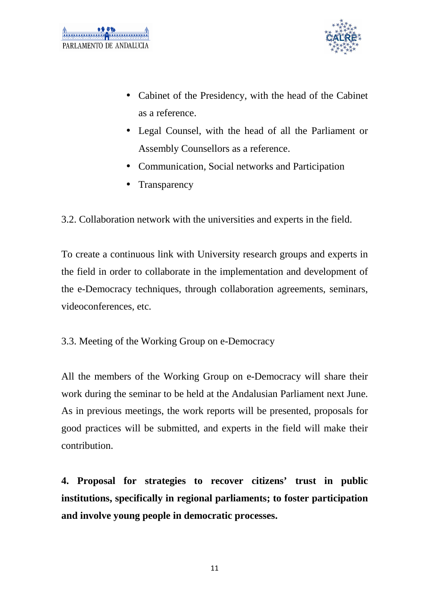

- Cabinet of the Presidency, with the head of the Cabinet as a reference.
- Legal Counsel, with the head of all the Parliament or Assembly Counsellors as a reference.
- Communication, Social networks and Participation
- Transparency

3.2. Collaboration network with the universities and experts in the field.

To create a continuous link with University research groups and experts in the field in order to collaborate in the implementation and development of the e-Democracy techniques, through collaboration agreements, seminars, videoconferences, etc.

3.3. Meeting of the Working Group on e-Democracy

All the members of the Working Group on e-Democracy will share their work during the seminar to be held at the Andalusian Parliament next June. As in previous meetings, the work reports will be presented, proposals for good practices will be submitted, and experts in the field will make their contribution.

**4. Proposal for strategies to recover citizens' trust in public institutions, specifically in regional parliaments; to foster participation and involve young people in democratic processes.**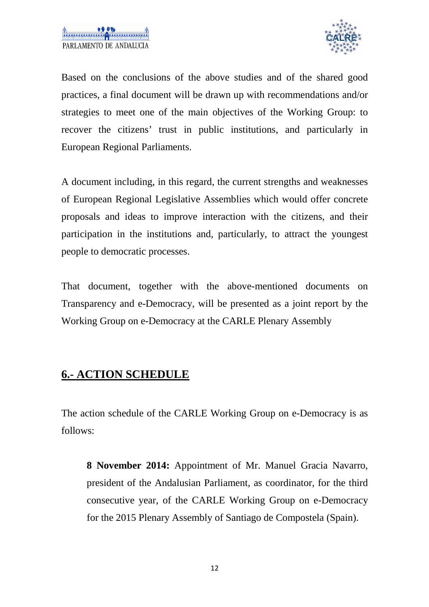

Based on the conclusions of the above studies and of the shared good practices, a final document will be drawn up with recommendations and/or strategies to meet one of the main objectives of the Working Group: to recover the citizens' trust in public institutions, and particularly in European Regional Parliaments.

A document including, in this regard, the current strengths and weaknesses of European Regional Legislative Assemblies which would offer concrete proposals and ideas to improve interaction with the citizens, and their participation in the institutions and, particularly, to attract the youngest people to democratic processes.

That document, together with the above-mentioned documents on Transparency and e-Democracy, will be presented as a joint report by the Working Group on e-Democracy at the CARLE Plenary Assembly

#### **6.- ACTION SCHEDULE**

The action schedule of the CARLE Working Group on e-Democracy is as follows:

**8 November 2014:** Appointment of Mr. Manuel Gracia Navarro, president of the Andalusian Parliament, as coordinator, for the third consecutive year, of the CARLE Working Group on e-Democracy for the 2015 Plenary Assembly of Santiago de Compostela (Spain).